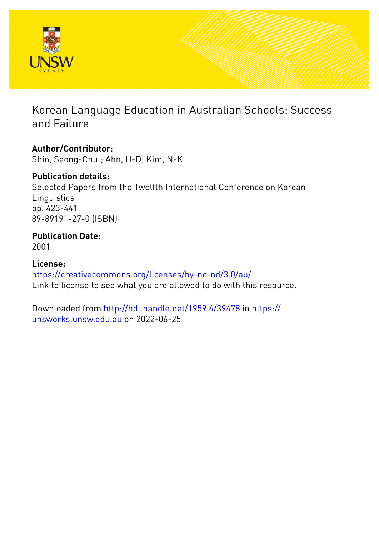

# Korean Language Education in Australian Schools: Success and Failure

## **Author/Contributor:**

Shin, Seong-Chul; Ahn, H-D; Kim, N-K

## **Publication details:**

Selected Papers from the Twelfth International Conference on Korean **Linguistics** pp. 423-441 89-89191-27-0 (ISBN)

### **Publication Date:** 2001

**License:** <https://creativecommons.org/licenses/by-nc-nd/3.0/au/> Link to license to see what you are allowed to do with this resource.

Downloaded from <http://hdl.handle.net/1959.4/39478> in [https://](https://unsworks.unsw.edu.au) [unsworks.unsw.edu.au](https://unsworks.unsw.edu.au) on 2022-06-25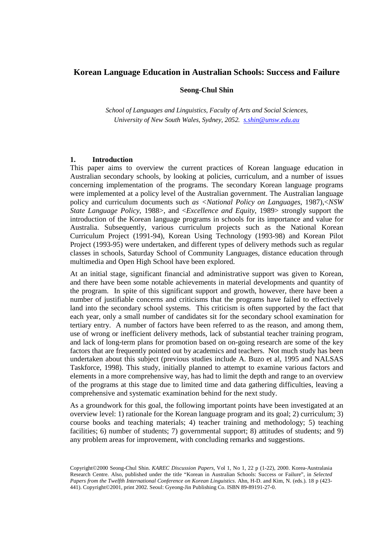### **Korean Language Education in Australian Schools: Success and Failure**

#### **Seong-Chul Shin**

*School of Languages and Linguistics, Faculty of Arts and Social Sciences, University of New South Wales, Sydney, 2052. s.shin@unsw.edu.au*

#### **1. Introduction**

This paper aims to overview the current practices of Korean language education in Australian secondary schools, by looking at policies, curriculum, and a number of issues concerning implementation of the programs. The secondary Korean language programs were implemented at a policy level of the Australian government. The Australian language policy and curriculum documents such *as <National Policy on Languages*, 1987),<*NSW State Language Policy*, 1988>, and <*Excellence and Equity*, 1989> strongly support the introduction of the Korean language programs in schools for its importance and value for Australia. Subsequently, various curriculum projects such as the National Korean Curriculum Project (1991-94), Korean Using Technology (1993-98) and Korean Pilot Project (1993-95) were undertaken, and different types of delivery methods such as regular classes in schools, Saturday School of Community Languages, distance education through multimedia and Open High School have been explored.

At an initial stage, significant financial and administrative support was given to Korean, and there have been some notable achievements in material developments and quantity of the program. In spite of this significant support and growth, however, there have been a number of justifiable concerns and criticisms that the programs have failed to effectively land into the secondary school systems. This criticism is often supported by the fact that each year, only a small number of candidates sit for the secondary school examination for tertiary entry. A number of factors have been referred to as the reason, and among them, use of wrong or inefficient delivery methods, lack of substantial teacher training program, and lack of long-term plans for promotion based on on-going research are some of the key factors that are frequently pointed out by academics and teachers. Not much study has been undertaken about this subject (previous studies include A. Buzo et al, 1995 and NALSAS Taskforce, 1998). This study, initially planned to attempt to examine various factors and elements in a more comprehensive way, has had to limit the depth and range to an overview of the programs at this stage due to limited time and data gathering difficulties, leaving a comprehensive and systematic examination behind for the next study.

As a groundwork for this goal, the following important points have been investigated at an overview level: 1) rationale for the Korean language program and its goal; 2) curriculum; 3) course books and teaching materials; 4) teacher training and methodology; 5) teaching facilities; 6) number of students; 7) governmental support; 8) attitudes of students; and 9) any problem areas for improvement, with concluding remarks and suggestions.

Copyright©2000 Seong-Chul Shin. *KAREC Discussion Papers,* Vol 1, No 1, 22 p (1-22), 2000. Korea-Australasia Research Centre. Also, published under the title "Korean in Australian Schools: Success or Failure", in *Selected Papers from the Twelfth International Conference on Korean Linguistics*. Ahn, H-D. and Kim, N. (eds.). 18 p (423- 441). Copyright©2001, print 2002. Seoul: Gyeong-Jin Publishing Co. ISBN 89-89191-27-0.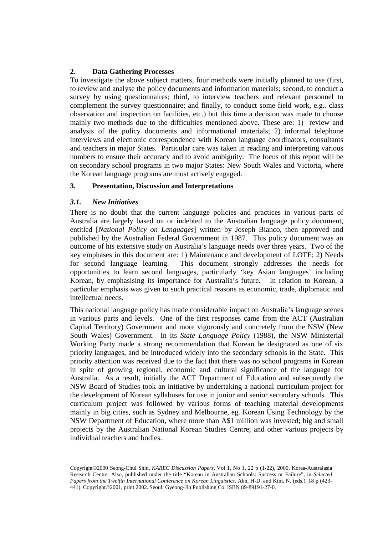#### **2. Data Gathering Processes**

To investigate the above subject matters, four methods were initially planned to use (first, to review and analyse the policy documents and information materials; second, to conduct a survey by using questionnaires; third, to interview teachers and relevant personnel to complement the survey questionnaire; and finally, to conduct some field work, e.g.. class observation and inspection on facilities, etc.) but this time a decision was made to choose mainly two methods due to the difficulties mentioned above. These are: 1) review and analysis of the policy documents and informational materials; 2) informal telephone interviews and electronic correspondence with Korean language coordinators, consultants and teachers in major States. Particular care was taken in reading and interpreting various numbers to ensure their accuracy and to avoid ambiguity. The focus of this report will be on secondary school programs in two major States: New South Wales and Victoria, where the Korean language programs are most actively engaged.

#### **3. Presentation, Discussion and Interpretations**

#### *3.1. New Initiatives*

There is no doubt that the current language policies and practices in various parts of Australia are largely based on or indebted to the Australian language policy document, entitled [*National Policy on Languages*] written by Joseph Bianco, then approved and published by the Australian Federal Government in 1987. This policy document was an outcome of his extensive study on Australia's language needs over three years. Two of the key emphases in this document are: 1) Maintenance and development of LOTE; 2) Needs for second language learning. This document strongly addresses the needs for opportunities to learn second languages, particularly 'key Asian languages' including Korean, by emphasising its importance for Australia's future. In relation to Korean, a particular emphasis was given to such practical reasons as economic, trade, diplomatic and intellectual needs.

This national language policy has made considerable impact on Australia's language scenes in various parts and levels. One of the first responses came from the ACT (Australian Capital Territory) Government and more vigorously and concretely from the NSW (New South Wales) Government. In its *State Language Policy* (1988), the NSW Ministerial Working Party made a strong recommendation that Korean be designated as one of six priority languages, and be introduced widely into the secondary schools in the State. This priority attention was received due to the fact that there was no school programs in Korean in spite of growing regional, economic and cultural significance of the language for Australia. As a result, initially the ACT Department of Education and subsequently the NSW Board of Studies took an initiative by undertaking a national curriculum project for the development of Korean syllabuses for use in junior and senior secondary schools. This curriculum project was followed by various forms of teaching material developments mainly in big cities, such as Sydney and Melbourne, eg. Korean Using Technology by the NSW Department of Education, where more than A\$1 million was invested; big and small projects by the Australian National Korean Studies Centre; and other various projects by individual teachers and bodies.

Copyright©2000 Seong-Chul Shin. *KAREC Discussion Papers,* Vol 1, No 1, 22 p (1-22), 2000. Korea-Australasia Research Centre. Also, published under the title "Korean in Australian Schools: Success or Failure", in *Selected Papers from the Twelfth International Conference on Korean Linguistics*. Ahn, H-D. and Kim, N. (eds.). 18 p (423- 441). Copyright©2001, print 2002. Seoul: Gyeong-Jin Publishing Co. ISBN 89-89191-27-0.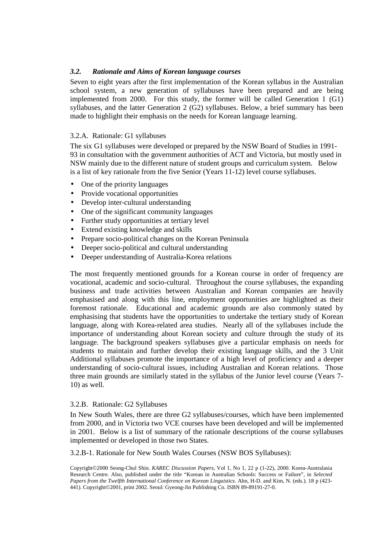#### *3.2. Rationale and Aims of Korean language courses*

Seven to eight years after the first implementation of the Korean syllabus in the Australian school system, a new generation of syllabuses have been prepared and are being implemented from 2000. For this study, the former will be called Generation 1 (G1) syllabuses, and the latter Generation 2 (G2) syllabuses. Below, a brief summary has been made to highlight their emphasis on the needs for Korean language learning.

#### 3.2.A. Rationale: G1 syllabuses

The six G1 syllabuses were developed or prepared by the NSW Board of Studies in 1991- 93 in consultation with the government authorities of ACT and Victoria, but mostly used in NSW mainly due to the different nature of student groups and curriculum system. Below is a list of key rationale from the five Senior (Years 11-12) level course syllabuses.

- One of the priority languages
- Provide vocational opportunities
- Develop inter-cultural understanding
- One of the significant community languages
- Further study opportunities at tertiary level
- Extend existing knowledge and skills
- Prepare socio-political changes on the Korean Peninsula
- Deeper socio-political and cultural understanding
- Deeper understanding of Australia-Korea relations

The most frequently mentioned grounds for a Korean course in order of frequency are vocational, academic and socio-cultural. Throughout the course syllabuses, the expanding business and trade activities between Australian and Korean companies are heavily emphasised and along with this line, employment opportunities are highlighted as their foremost rationale. Educational and academic grounds are also commonly stated by emphasising that students have the opportunities to undertake the tertiary study of Korean language, along with Korea-related area studies. Nearly all of the syllabuses include the importance of understanding about Korean society and culture through the study of its language. The background speakers syllabuses give a particular emphasis on needs for students to maintain and further develop their existing language skills, and the 3 Unit Additional syllabuses promote the importance of a high level of proficiency and a deeper understanding of socio-cultural issues, including Australian and Korean relations. Those three main grounds are similarly stated in the syllabus of the Junior level course (Years 7- 10) as well.

#### 3.2.B. Rationale: G2 Syllabuses

In New South Wales, there are three G2 syllabuses/courses, which have been implemented from 2000, and in Victoria two VCE courses have been developed and will be implemented in 2001. Below is a list of summary of the rationale descriptions of the course syllabuses implemented or developed in those two States.

3.2.B-1. Rationale for New South Wales Courses (NSW BOS Syllabuses):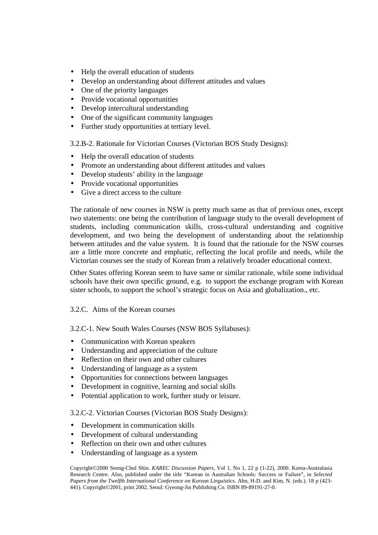- Help the overall education of students
- Develop an understanding about different attitudes and values
- One of the priority languages
- Provide vocational opportunities
- Develop intercultural understanding
- One of the significant community languages
- Further study opportunities at tertiary level.

3.2.B-2. Rationale for Victorian Courses (Victorian BOS Study Designs):

- Help the overall education of students
- Promote an understanding about different attitudes and values
- Develop students' ability in the language
- Provide vocational opportunities
- Give a direct access to the culture

The rationale of new courses in NSW is pretty much same as that of previous ones, except two statements: one being the contribution of language study to the overall development of students, including communication skills, cross-cultural understanding and cognitive development, and two being the development of understanding about the relationship between attitudes and the value system. It is found that the rationale for the NSW courses are a little more concrete and emphatic, reflecting the local profile and needs, while the Victorian courses see the study of Korean from a relatively broader educational context.

Other States offering Korean seem to have same or similar rationale, while some individual schools have their own specific ground, e.g. to support the exchange program with Korean sister schools, to support the school's strategic focus on Asia and globalization., etc.

#### 3.2.C. Aims of the Korean courses

3.2.C-1. New South Wales Courses (NSW BOS Syllabuses):

- Communication with Korean speakers
- Understanding and appreciation of the culture
- Reflection on their own and other cultures
- Understanding of language as a system
- Opportunities for connections between languages
- Development in cognitive, learning and social skills
- Potential application to work, further study or leisure.

#### 3.2.C-2. Victorian Courses (Victorian BOS Study Designs):

- Development in communication skills
- Development of cultural understanding
- Reflection on their own and other cultures
- Understanding of language as a system

Copyright©2000 Seong-Chul Shin. *KAREC Discussion Papers,* Vol 1, No 1, 22 p (1-22), 2000. Korea-Australasia Research Centre. Also, published under the title "Korean in Australian Schools: Success or Failure", in *Selected Papers from the Twelfth International Conference on Korean Linguistics*. Ahn, H-D. and Kim, N. (eds.). 18 p (423- 441). Copyright©2001, print 2002. Seoul: Gyeong-Jin Publishing Co. ISBN 89-89191-27-0.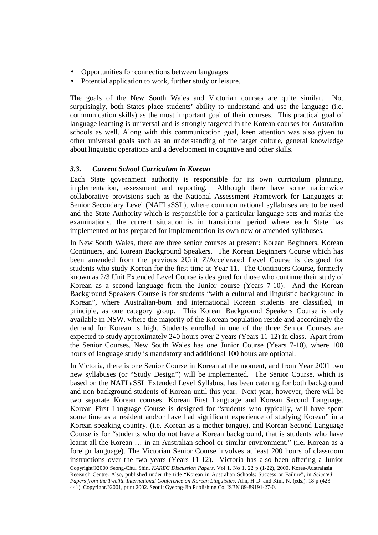- Opportunities for connections between languages
- Potential application to work, further study or leisure.

The goals of the New South Wales and Victorian courses are quite similar. Not surprisingly, both States place students' ability to understand and use the language (i.e. communication skills) as the most important goal of their courses. This practical goal of language learning is universal and is strongly targeted in the Korean courses for Australian schools as well. Along with this communication goal, keen attention was also given to other universal goals such as an understanding of the target culture, general knowledge about linguistic operations and a development in cognitive and other skills.

#### *3.3. Current School Curriculum in Korean*

Each State government authority is responsible for its own curriculum planning, implementation, assessment and reporting. Although there have some nationwide collaborative provisions such as the National Assessment Framework for Languages at Senior Secondary Level (NAFLaSSL), where common national syllabuses are to be used and the State Authority which is responsible for a particular language sets and marks the examinations, the current situation is in transitional period where each State has implemented or has prepared for implementation its own new or amended syllabuses.

In New South Wales, there are three senior courses at present: Korean Beginners, Korean Continuers, and Korean Background Speakers. The Korean Beginners Course which has been amended from the previous 2Unit Z/Accelerated Level Course is designed for students who study Korean for the first time at Year 11. The Continuers Course, formerly known as 2/3 Unit Extended Level Course is designed for those who continue their study of Korean as a second language from the Junior course (Years 7-10). And the Korean Background Speakers Course is for students "with a cultural and linguistic background in Korean", where Australian-born and international Korean students are classified, in principle, as one category group. This Korean Background Speakers Course is only available in NSW, where the majority of the Korean population reside and accordingly the demand for Korean is high. Students enrolled in one of the three Senior Courses are expected to study approximately 240 hours over 2 years (Years 11-12) in class. Apart from the Senior Courses, New South Wales has one Junior Course (Years 7-10), where 100 hours of language study is mandatory and additional 100 hours are optional.

Copyright©2000 Seong-Chul Shin. *KAREC Discussion Papers,* Vol 1, No 1, 22 p (1-22), 2000. Korea-Australasia Research Centre. Also, published under the title "Korean in Australian Schools: Success or Failure", in *Selected Papers from the Twelfth International Conference on Korean Linguistics*. Ahn, H-D. and Kim, N. (eds.). 18 p (423- 441). Copyright©2001, print 2002. Seoul: Gyeong-Jin Publishing Co. ISBN 89-89191-27-0. In Victoria, there is one Senior Course in Korean at the moment, and from Year 2001 two new syllabuses (or "Study Design") will be implemented. The Senior Course, which is based on the NAFLaSSL Extended Level Syllabus, has been catering for both background and non-background students of Korean until this year. Next year, however, there will be two separate Korean courses: Korean First Language and Korean Second Language. Korean First Language Course is designed for "students who typically, will have spent some time as a resident and/or have had significant experience of studying Korean" in a Korean-speaking country. (i.e. Korean as a mother tongue), and Korean Second Language Course is for "students who do not have a Korean background, that is students who have learnt all the Korean … in an Australian school or similar environment." (i.e. Korean as a foreign language). The Victorian Senior Course involves at least 200 hours of classroom instructions over the two years (Years 11-12). Victoria has also been offering a Junior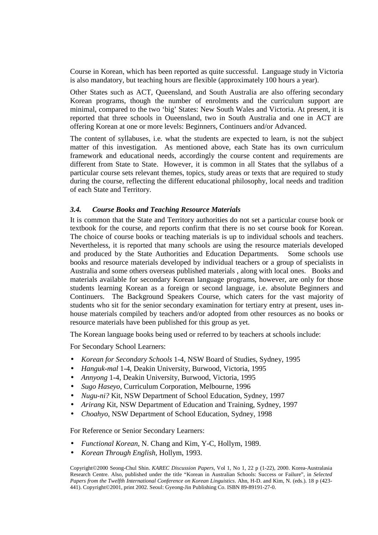Course in Korean, which has been reported as quite successful. Language study in Victoria is also mandatory, but teaching hours are flexible (approximately 100 hours a year).

Other States such as ACT, Queensland, and South Australia are also offering secondary Korean programs, though the number of enrolments and the curriculum support are minimal, compared to the two 'big' States: New South Wales and Victoria. At present, it is reported that three schools in Oueensland, two in South Australia and one in ACT are offering Korean at one or more levels: Beginners, Continuers and/or Advanced.

The content of syllabuses, i.e. what the students are expected to learn, is not the subject matter of this investigation. As mentioned above, each State has its own curriculum framework and educational needs, accordingly the course content and requirements are different from State to State. However, it is common in all States that the syllabus of a particular course sets relevant themes, topics, study areas or texts that are required to study during the course, reflecting the different educational philosophy, local needs and tradition of each State and Territory.

#### *3.4. Course Books and Teaching Resource Materials*

It is common that the State and Territory authorities do not set a particular course book or textbook for the course, and reports confirm that there is no set course book for Korean. The choice of course books or teaching materials is up to individual schools and teachers. Nevertheless, it is reported that many schools are using the resource materials developed and produced by the State Authorities and Education Departments. Some schools use books and resource materials developed by individual teachers or a group of specialists in Australia and some others overseas published materials , along with local ones. Books and materials available for secondary Korean language programs, however, are only for those students learning Korean as a foreign or second language, i.e. absolute Beginners and Continuers. The Background Speakers Course, which caters for the vast majority of students who sit for the senior secondary examination for tertiary entry at present, uses inhouse materials compiled by teachers and/or adopted from other resources as no books or resource materials have been published for this group as yet.

The Korean language books being used or referred to by teachers at schools include:

For Secondary School Learners:

- *Korean for Secondary Schools* 1-4, NSW Board of Studies, Sydney, 1995
- *Hanguk-mal* 1-4, Deakin University, Burwood, Victoria, 1995
- *Annyong* 1-4, Deakin University, Burwood, Victoria, 1995
- *Sugo Haseyo*, Curriculum Corporation, Melbourne, 1996
- *Nugu-ni?* Kit, NSW Department of School Education, Sydney, 1997
- *Arirang* Kit, NSW Department of Education and Training, Sydney, 1997
- *Choahyo*, NSW Department of School Education, Sydney, 1998

For Reference or Senior Secondary Learners:

- *Functional Korean*, N. Chang and Kim, Y-C, Hollym, 1989.
- *Korean Through English*, Hollym, 1993.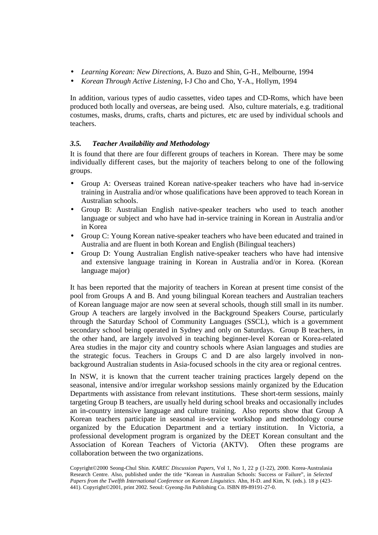- *Learning Korean: New Directions*, A. Buzo and Shin, G-H., Melbourne, 1994
- *Korean Through Active Listening*, I-J Cho and Cho, Y-A., Hollym, 1994

In addition, various types of audio cassettes, video tapes and CD-Roms, which have been produced both locally and overseas, are being used. Also, culture materials, e.g. traditional costumes, masks, drums, crafts, charts and pictures, etc are used by individual schools and teachers.

### *3.5. Teacher Availability and Methodology*

It is found that there are four different groups of teachers in Korean. There may be some individually different cases, but the majority of teachers belong to one of the following groups.

- Group A: Overseas trained Korean native-speaker teachers who have had in-service training in Australia and/or whose qualifications have been approved to teach Korean in Australian schools.
- Group B: Australian English native-speaker teachers who used to teach another language or subject and who have had in-service training in Korean in Australia and/or in Korea
- Group C: Young Korean native-speaker teachers who have been educated and trained in Australia and are fluent in both Korean and English (Bilingual teachers)
- Group D: Young Australian English native-speaker teachers who have had intensive and extensive language training in Korean in Australia and/or in Korea. (Korean language major)

It has been reported that the majority of teachers in Korean at present time consist of the pool from Groups A and B. And young bilingual Korean teachers and Australian teachers of Korean language major are now seen at several schools, though still small in its number. Group A teachers are largely involved in the Background Speakers Course, particularly through the Saturday School of Community Languages (SSCL), which is a government secondary school being operated in Sydney and only on Saturdays. Group B teachers, in the other hand, are largely involved in teaching beginner-level Korean or Korea-related Area studies in the major city and country schools where Asian languages and studies are the strategic focus. Teachers in Groups C and D are also largely involved in nonbackground Australian students in Asia-focused schools in the city area or regional centres.

In NSW, it is known that the current teacher training practices largely depend on the seasonal, intensive and/or irregular workshop sessions mainly organized by the Education Departments with assistance from relevant institutions. These short-term sessions, mainly targeting Group B teachers, are usually held during school breaks and occasionally includes an in-country intensive language and culture training. Also reports show that Group A Korean teachers participate in seasonal in-service workshop and methodology course organized by the Education Department and a tertiary institution. In Victoria, a professional development program is organized by the DEET Korean consultant and the Association of Korean Teachers of Victoria (AKTV). Often these programs are collaboration between the two organizations.

Copyright©2000 Seong-Chul Shin. *KAREC Discussion Papers,* Vol 1, No 1, 22 p (1-22), 2000. Korea-Australasia Research Centre. Also, published under the title "Korean in Australian Schools: Success or Failure", in *Selected Papers from the Twelfth International Conference on Korean Linguistics*. Ahn, H-D. and Kim, N. (eds.). 18 p (423- 441). Copyright©2001, print 2002. Seoul: Gyeong-Jin Publishing Co. ISBN 89-89191-27-0.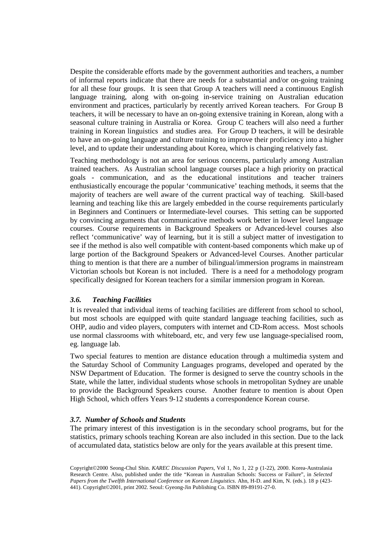Despite the considerable efforts made by the government authorities and teachers, a number of informal reports indicate that there are needs for a substantial and/or on-going training for all these four groups. It is seen that Group A teachers will need a continuous English language training, along with on-going in-service training on Australian education environment and practices, particularly by recently arrived Korean teachers. For Group B teachers, it will be necessary to have an on-going extensive training in Korean, along with a seasonal culture training in Australia or Korea. Group C teachers will also need a further training in Korean linguistics and studies area. For Group D teachers, it will be desirable to have an on-going language and culture training to improve their proficiency into a higher level, and to update their understanding about Korea, which is changing relatively fast.

Teaching methodology is not an area for serious concerns, particularly among Australian trained teachers. As Australian school language courses place a high priority on practical goals - communication, and as the educational institutions and teacher trainers enthusiastically encourage the popular 'communicative' teaching methods, it seems that the majority of teachers are well aware of the current practical way of teaching. Skill-based learning and teaching like this are largely embedded in the course requirements particularly in Beginners and Continuers or Intermediate-level courses. This setting can be supported by convincing arguments that communicative methods work better in lower level language courses. Course requirements in Background Speakers or Advanced-level courses also reflect 'communicative' way of learning, but it is still a subject matter of investigation to see if the method is also well compatible with content-based components which make up of large portion of the Background Speakers or Advanced-level Courses. Another particular thing to mention is that there are a number of bilingual/immersion programs in mainstream Victorian schools but Korean is not included. There is a need for a methodology program specifically designed for Korean teachers for a similar immersion program in Korean.

#### *3.6. Teaching Facilities*

It is revealed that individual items of teaching facilities are different from school to school, but most schools are equipped with quite standard language teaching facilities, such as OHP, audio and video players, computers with internet and CD-Rom access. Most schools use normal classrooms with whiteboard, etc, and very few use language-specialised room, eg. language lab.

Two special features to mention are distance education through a multimedia system and the Saturday School of Community Languages programs, developed and operated by the NSW Department of Education. The former is designed to serve the country schools in the State, while the latter, individual students whose schools in metropolitan Sydney are unable to provide the Background Speakers course. Another feature to mention is about Open High School, which offers Years 9-12 students a correspondence Korean course.

#### *3.7. Number of Schools and Students*

The primary interest of this investigation is in the secondary school programs, but for the statistics, primary schools teaching Korean are also included in this section. Due to the lack of accumulated data, statistics below are only for the years available at this present time.

Copyright©2000 Seong-Chul Shin. *KAREC Discussion Papers,* Vol 1, No 1, 22 p (1-22), 2000. Korea-Australasia Research Centre. Also, published under the title "Korean in Australian Schools: Success or Failure", in *Selected Papers from the Twelfth International Conference on Korean Linguistics*. Ahn, H-D. and Kim, N. (eds.). 18 p (423- 441). Copyright©2001, print 2002. Seoul: Gyeong-Jin Publishing Co. ISBN 89-89191-27-0.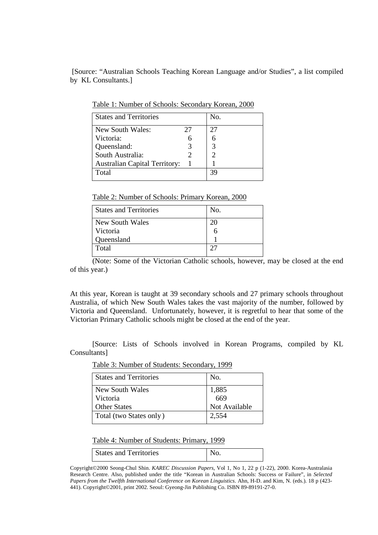[Source: "Australian Schools Teaching Korean Language and/or Studies", a list compiled by KL Consultants.]

| 27 | 27 |
|----|----|
|    |    |
|    |    |
|    |    |
|    |    |
|    |    |
|    | 3q |
|    |    |

Table 1: Number of Schools: Secondary Korean, 2000

Table 2: Number of Schools: Primary Korean, 2000

| <b>States and Territories</b> | No. |
|-------------------------------|-----|
| New South Wales               | 20  |
| Victoria                      |     |
| Queensland                    |     |
| Total                         |     |

(Note: Some of the Victorian Catholic schools, however, may be closed at the end of this year.)

At this year, Korean is taught at 39 secondary schools and 27 primary schools throughout Australia, of which New South Wales takes the vast majority of the number, followed by Victoria and Queensland. Unfortunately, however, it is regretful to hear that some of the Victorian Primary Catholic schools might be closed at the end of the year.

 [Source: Lists of Schools involved in Korean Programs, compiled by KL Consultants]

Table 3: Number of Students: Secondary, 1999

| <b>States and Territories</b> | No.           |
|-------------------------------|---------------|
| New South Wales               | 1,885<br>669  |
| <b>Victoria</b>               |               |
| <b>Other States</b>           | Not Available |
| Total (two States only)       | 2,554         |

Table 4: Number of Students: Primary, 1999

| <b>States and Territories</b> |  |
|-------------------------------|--|

Copyright©2000 Seong-Chul Shin. *KAREC Discussion Papers,* Vol 1, No 1, 22 p (1-22), 2000. Korea-Australasia Research Centre. Also, published under the title "Korean in Australian Schools: Success or Failure", in *Selected Papers from the Twelfth International Conference on Korean Linguistics*. Ahn, H-D. and Kim, N. (eds.). 18 p (423- 441). Copyright©2001, print 2002. Seoul: Gyeong-Jin Publishing Co. ISBN 89-89191-27-0.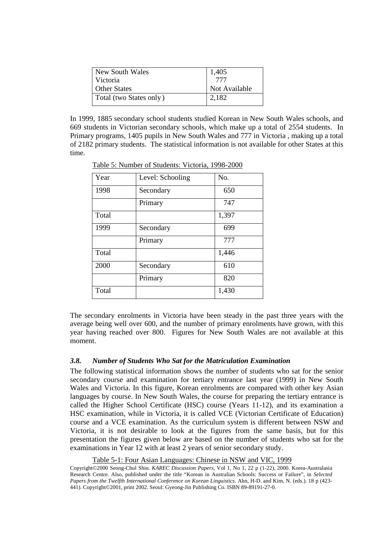| New South Wales         | 1,405         |
|-------------------------|---------------|
| Victoria                | 777           |
| <b>Other States</b>     | Not Available |
| Total (two States only) | 2,182         |

In 1999, 1885 secondary school students studied Korean in New South Wales schools, and 669 students in Victorian secondary schools, which make up a total of 2554 students. In Primary programs, 1405 pupils in New South Wales and 777 in Victoria , making up a total of 2182 primary students. The statistical information is not available for other States at this time.

| Year  | Level: Schooling | No.   |
|-------|------------------|-------|
| 1998  | Secondary        | 650   |
|       | Primary          | 747   |
| Total |                  | 1,397 |
| 1999  | Secondary        | 699   |
|       | Primary          | 777   |
| Total |                  | 1,446 |
| 2000  | Secondary        | 610   |
|       | Primary          | 820   |
| Total |                  | 1,430 |

Table 5: Number of Students: Victoria, 1998-2000

The secondary enrolments in Victoria have been steady in the past three years with the average being well over 600, and the number of primary enrolments have grown, with this year having reached over 800. Figures for New South Wales are not available at this moment.

#### *3.8. Number of Students Who Sat for the Matriculation Examination*

The following statistical information shows the number of students who sat for the senior secondary course and examination for tertiary entrance last year (1999) in New South Wales and Victoria. In this figure, Korean enrolments are compared with other key Asian languages by course. In New South Wales, the course for preparing the tertiary entrance is called the Higher School Certificate (HSC) course (Years 11-12), and its examination a HSC examination, while in Victoria, it is called VCE (Victorian Certificate of Education) course and a VCE examination. As the curriculum system is different between NSW and Victoria, it is not desirable to look at the figures from the same basis, but for this presentation the figures given below are based on the number of students who sat for the examinations in Year 12 with at least 2 years of senior secondary study.

#### Table 5-1: Four Asian Languages: Chinese in NSW and VIC, 1999

Copyright©2000 Seong-Chul Shin. *KAREC Discussion Papers,* Vol 1, No 1, 22 p (1-22), 2000. Korea-Australasia Research Centre. Also, published under the title "Korean in Australian Schools: Success or Failure", in *Selected Papers from the Twelfth International Conference on Korean Linguistics*. Ahn, H-D. and Kim, N. (eds.). 18 p (423- 441). Copyright©2001, print 2002. Seoul: Gyeong-Jin Publishing Co. ISBN 89-89191-27-0.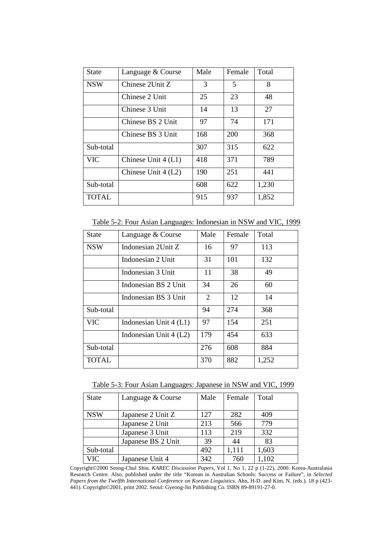| <b>State</b> | Language & Course     | Male | Female | Total |
|--------------|-----------------------|------|--------|-------|
| <b>NSW</b>   | Chinese 2Unit Z       |      | 5      | 8     |
|              | Chinese 2 Unit        | 25   | 23     | 48    |
|              | Chinese 3 Unit        | 14   | 13     | 27    |
|              | Chinese BS 2 Unit     | 97   | 74     | 171   |
|              | Chinese BS 3 Unit     | 168  | 200    | 368   |
| Sub-total    |                       | 307  | 315    | 622   |
| <b>VIC</b>   | Chinese Unit $4$ (L1) | 418  | 371    | 789   |
|              | Chinese Unit $4(L2)$  | 190  | 251    | 441   |
| Sub-total    |                       | 608  | 622    | 1,230 |
| TOTAL        |                       | 915  | 937    | 1,852 |

Table 5-2: Four Asian Languages: Indonesian in NSW and VIC, 1999

| State        | Language & Course        | Male | Female | Total |
|--------------|--------------------------|------|--------|-------|
| <b>NSW</b>   | Indonesian 2Unit Z       | 16   | 97     | 113   |
|              | Indonesian 2 Unit        | 31   | 101    | 132   |
|              | Indonesian 3 Unit        | 11   | 38     | 49    |
|              | Indonesian BS 2 Unit     | 34   | 26     | 60    |
|              | Indonesian BS 3 Unit     | 2    | 12     | 14    |
| Sub-total    |                          | 94   | 274    | 368   |
| <b>VIC</b>   | Indonesian Unit $4$ (L1) | 97   | 154    | 251   |
|              | Indonesian Unit $4(L2)$  | 179  | 454    | 633   |
| Sub-total    |                          | 276  | 608    | 884   |
| <b>TOTAL</b> |                          | 370  | 882    | 1,252 |

Table 5-3: Four Asian Languages: Japanese in NSW and VIC, 1999

| <b>State</b> | Language & Course  | Male | Female | Total |
|--------------|--------------------|------|--------|-------|
| <b>NSW</b>   | Japanese 2 Unit Z  | 127  | 282    | 409   |
|              | Japanese 2 Unit    | 213  | 566    | 779   |
|              | Japanese 3 Unit    | 113  | 219    | 332   |
|              | Japanese BS 2 Unit | 39   | 44     | 83    |
| Sub-total    |                    | 492  | 1,111  | 1,603 |
| <b>VIC</b>   | Japanese Unit 4    | 342  | 760    | 1,102 |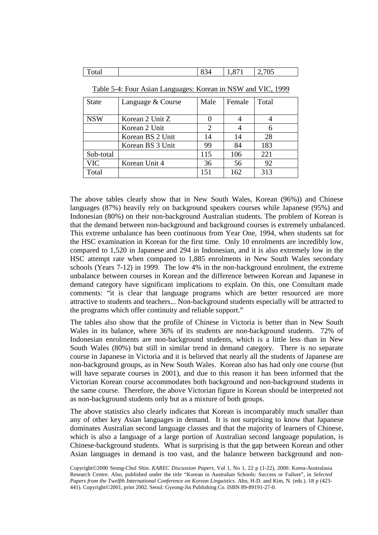| $\overline{ }$<br>Total | $\sim$ $\sim$<br>$\mathbf{O}^{\prime}$<br>∸∆ר<br>OJ. | - 4<br>́<br>1,0,1 | 705<br>- |
|-------------------------|------------------------------------------------------|-------------------|----------|
|-------------------------|------------------------------------------------------|-------------------|----------|

| <b>State</b>                  | Language & Course | Male | Female | Total |
|-------------------------------|-------------------|------|--------|-------|
| <b>NSW</b><br>Korean 2 Unit Z |                   |      |        |       |
|                               | Korean 2 Unit     | 2    |        |       |
|                               | Korean BS 2 Unit  | 14   | 14     | 28    |
|                               | Korean BS 3 Unit  | 99   | 84     | 183   |
| Sub-total                     |                   | 115  | 106    | 221   |
| <b>VIC</b>                    | Korean Unit 4     | 36   | 56     | 92    |
| Total                         |                   | 151  | 162    | 313   |

Table 5-4: Four Asian Languages: Korean in NSW and VIC, 1999

The above tables clearly show that in New South Wales, Korean (96%)) and Chinese languages (87%) heavily rely on background speakers courses while Japanese (95%) and Indonesian (80%) on their non-background Australian students. The problem of Korean is that the demand between non-background and background courses is extremely unbalanced. This extreme unbalance has been continuous from Year One, 1994, when students sat for the HSC examination in Korean for the first time. Only 10 enrolments are incredibly low, compared to 1,520 in Japanese and 294 in Indonesian, and it is also extremely low in the HSC attempt rate when compared to 1,885 enrolments in New South Wales secondary schools (Years 7-12) in 1999. The low 4% in the non-background enrolment, the extreme unbalance between courses in Korean and the difference between Korean and Japanese in demand category have significant implications to explain. On this, one Consultant made comments: "it is clear that language programs which are better resourced are more attractive to students and teachers... Non-background students especially will be attracted to the programs which offer continuity and reliable support."

The tables also show that the profile of Chinese in Victoria is better than in New South Wales in its balance, where 36% of its students are non-background students. 72% of Indonesian enrolments are non-background students, which is a little less than in New South Wales (80%) but still in similar trend in demand category. There is no separate course in Japanese in Victoria and it is believed that nearly all the students of Japanese are non-background groups, as in New South Wales. Korean also has had only one course (but will have separate courses in 2001), and due to this reason it has been informed that the Victorian Korean course accommodates both background and non-background students in the same course. Therefore, the above Victorian figure in Korean should be interpreted not as non-background students only but as a mixture of both groups.

The above statistics also clearly indicates that Korean is incomparably much smaller than any of other key Asian languages in demand. It is not surprising to know that Japanese dominates Australian second language classes and that the majority of learners of Chinese, which is also a language of a large portion of Australian second language population, is Chinese-background students. What is surprising is that the gap between Korean and other Asian languages in demand is too vast, and the balance between background and non-

Copyright©2000 Seong-Chul Shin. *KAREC Discussion Papers,* Vol 1, No 1, 22 p (1-22), 2000. Korea-Australasia Research Centre. Also, published under the title "Korean in Australian Schools: Success or Failure", in *Selected Papers from the Twelfth International Conference on Korean Linguistics*. Ahn, H-D. and Kim, N. (eds.). 18 p (423- 441). Copyright©2001, print 2002. Seoul: Gyeong-Jin Publishing Co. ISBN 89-89191-27-0.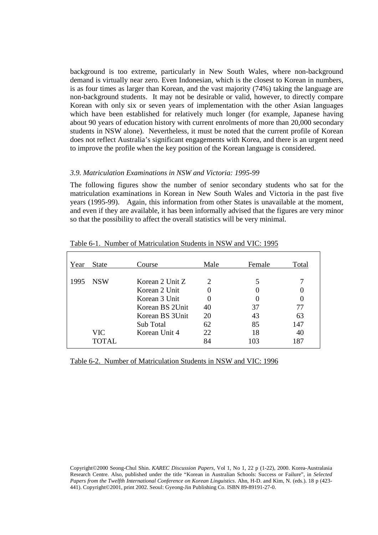background is too extreme, particularly in New South Wales, where non-background demand is virtually near zero. Even Indonesian, which is the closest to Korean in numbers, is as four times as larger than Korean, and the vast majority (74%) taking the language are non-background students. It may not be desirable or valid, however, to directly compare Korean with only six or seven years of implementation with the other Asian languages which have been established for relatively much longer (for example, Japanese having about 90 years of education history with current enrolments of more than 20,000 secondary students in NSW alone). Nevertheless, it must be noted that the current profile of Korean does not reflect Australia's significant engagements with Korea, and there is an urgent need to improve the profile when the key position of the Korean language is considered.

#### *3.9. Matriculation Examinations in NSW and Victoria: 1995-99*

The following figures show the number of senior secondary students who sat for the matriculation examinations in Korean in New South Wales and Victoria in the past five years (1995-99). Again, this information from other States is unavailable at the moment, and even if they are available, it has been informally advised that the figures are very minor so that the possibility to affect the overall statistics will be very minimal.

| Year | <b>State</b>                | Course                                                                                                                | Male                                                    | Female                      | Total                        |
|------|-----------------------------|-----------------------------------------------------------------------------------------------------------------------|---------------------------------------------------------|-----------------------------|------------------------------|
| 1995 | <b>NSW</b><br>VIC<br>TOTAL. | Korean 2 Unit Z<br>Korean 2 Unit<br>Korean 3 Unit<br>Korean BS 2Unit<br>Korean BS 3Unit<br>Sub Total<br>Korean Unit 4 | 2<br>$\Omega$<br>$\theta$<br>40<br>20<br>62<br>22<br>84 | 37<br>43<br>85<br>18<br>103 | 77<br>63<br>147<br>40<br>187 |

Table 6-1. Number of Matriculation Students in NSW and VIC: 1995

Table 6-2. Number of Matriculation Students in NSW and VIC: 1996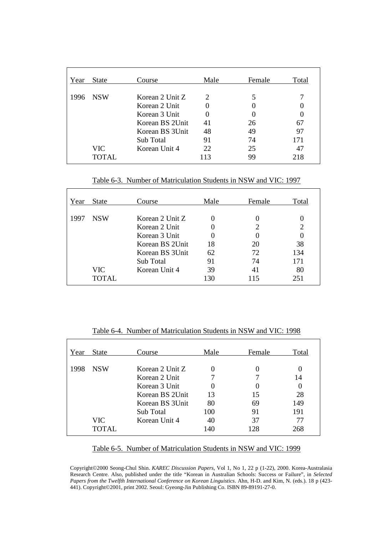| Year | <b>State</b>       | Course                                                                                                                | Male                      | Female               | Total           |
|------|--------------------|-----------------------------------------------------------------------------------------------------------------------|---------------------------|----------------------|-----------------|
| 1996 | <b>NSW</b><br>VIC- | Korean 2 Unit Z<br>Korean 2 Unit<br>Korean 3 Unit<br>Korean BS 2Unit<br>Korean BS 3Unit<br>Sub Total<br>Korean Unit 4 | 2<br>41<br>48<br>91<br>22 | 26<br>49<br>74<br>25 | 67<br>97<br>171 |
|      | TOTAL.             |                                                                                                                       | 113                       | 99                   | 218             |

Table 6-3. Number of Matriculation Students in NSW and VIC: 1997

| Year | <b>State</b> | Course          | Male | Female   | Total |
|------|--------------|-----------------|------|----------|-------|
| 1997 | <b>NSW</b>   | Korean 2 Unit Z |      |          |       |
|      |              | Korean 2 Unit   |      | 2        | 2     |
|      |              | Korean 3 Unit   |      | $\theta$ |       |
|      |              | Korean BS 2Unit | 18   | 20       | 38    |
|      |              | Korean BS 3Unit | 62   | 72       | 134   |
|      |              | Sub Total       | 91   | 74       | 171   |
|      | VIC          | Korean Unit 4   | 39   | 41       | 80    |
|      | TOTAL.       |                 | 130  | 115      | 251   |

Table 6-4. Number of Matriculation Students in NSW and VIC: 1998

| Year | <b>State</b> | Course          | Male | Female | Total |
|------|--------------|-----------------|------|--------|-------|
| 1998 | <b>NSW</b>   | Korean 2 Unit Z |      |        |       |
|      |              | Korean 2 Unit   |      |        | 14    |
|      |              | Korean 3 Unit   |      |        | 0     |
|      |              | Korean BS 2Unit | 13   | 15     | 28    |
|      |              | Korean BS 3Unit | 80   | 69     | 149   |
|      |              | Sub Total       | 100  | 91     | 191   |
|      | VIC          | Korean Unit 4   | 40   | 37     | 77    |
|      | TOTAL        |                 | 140  | 128    | 268   |

#### Table 6-5. Number of Matriculation Students in NSW and VIC: 1999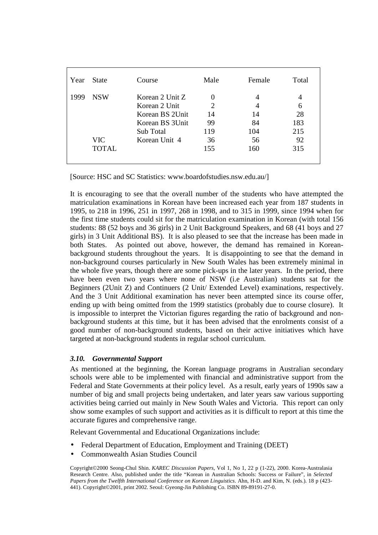| Year | <b>State</b> | Course          | Male | Female | Total |
|------|--------------|-----------------|------|--------|-------|
| 1999 | <b>NSW</b>   | Korean 2 Unit Z |      |        | 4     |
|      |              | Korean 2 Unit   | 2    |        | 6     |
|      |              | Korean BS 2Unit | 14   | 14     | 28    |
|      |              | Korean BS 3Unit | 99   | 84     | 183   |
|      |              | Sub Total       | 119  | 104    | 215   |
|      | VIC-         | Korean Unit 4   | 36   | 56     | 92    |
|      | <b>TOTAL</b> |                 | 155  | 160    | 315   |
|      |              |                 |      |        |       |

[Source: HSC and SC Statistics: www.boardofstudies.nsw.edu.au/]

It is encouraging to see that the overall number of the students who have attempted the matriculation examinations in Korean have been increased each year from 187 students in 1995, to 218 in 1996, 251 in 1997, 268 in 1998, and to 315 in 1999, since 1994 when for the first time students could sit for the matriculation examination in Korean (with total 156 students: 88 (52 boys and 36 girls) in 2 Unit Background Speakers, and 68 (41 boys and 27 girls) in 3 Unit Additional BS). It is also pleased to see that the increase has been made in both States. As pointed out above, however, the demand has remained in Koreanbackground students throughout the years. It is disappointing to see that the demand in non-background courses particularly in New South Wales has been extremely minimal in the whole five years, though there are some pick-ups in the later years. In the period, there have been even two years where none of NSW (i.e Australian) students sat for the Beginners (2Unit Z) and Continuers (2 Unit/ Extended Level) examinations, respectively. And the 3 Unit Additional examination has never been attempted since its course offer, ending up with being omitted from the 1999 statistics (probably due to course closure). It is impossible to interpret the Victorian figures regarding the ratio of background and nonbackground students at this time, but it has been advised that the enrolments consist of a good number of non-background students, based on their active initiatives which have targeted at non-background students in regular school curriculum.

#### *3.10. Governmental Support*

As mentioned at the beginning, the Korean language programs in Australian secondary schools were able to be implemented with financial and administrative support from the Federal and State Governments at their policy level. As a result, early years of 1990s saw a number of big and small projects being undertaken, and later years saw various supporting activities being carried out mainly in New South Wales and Victoria. This report can only show some examples of such support and activities as it is difficult to report at this time the accurate figures and comprehensive range.

Relevant Governmental and Educational Organizations include:

- Federal Department of Education, Employment and Training (DEET)
- Commonwealth Asian Studies Council

Copyright©2000 Seong-Chul Shin. *KAREC Discussion Papers,* Vol 1, No 1, 22 p (1-22), 2000. Korea-Australasia Research Centre. Also, published under the title "Korean in Australian Schools: Success or Failure", in *Selected Papers from the Twelfth International Conference on Korean Linguistics*. Ahn, H-D. and Kim, N. (eds.). 18 p (423- 441). Copyright©2001, print 2002. Seoul: Gyeong-Jin Publishing Co. ISBN 89-89191-27-0.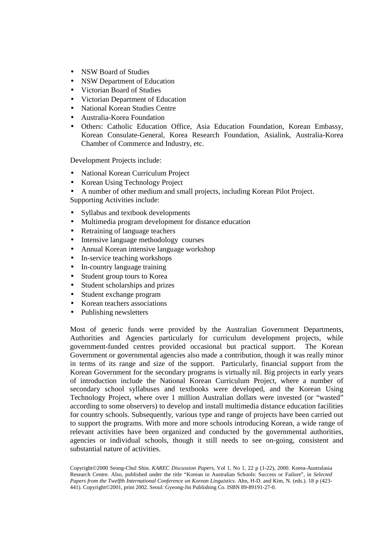- NSW Board of Studies
- NSW Department of Education
- Victorian Board of Studies
- Victorian Department of Education
- National Korean Studies Centre
- Australia-Korea Foundation
- Others: Catholic Education Office, Asia Education Foundation, Korean Embassy, Korean Consulate-General, Korea Research Foundation, Asialink, Australia-Korea Chamber of Commerce and Industry, etc.

Development Projects include:

- National Korean Curriculum Project
- Korean Using Technology Project
- A number of other medium and small projects, including Korean Pilot Project.

Supporting Activities include:

- Syllabus and textbook developments
- Multimedia program development for distance education
- Retraining of language teachers
- Intensive language methodology courses
- Annual Korean intensive language workshop
- In-service teaching workshops
- In-country language training
- Student group tours to Korea
- Student scholarships and prizes
- Student exchange program
- Korean teachers associations
- Publishing newsletters

Most of generic funds were provided by the Australian Government Departments, Authorities and Agencies particularly for curriculum development projects, while government-funded centres provided occasional but practical support. The Korean Government or governmental agencies also made a contribution, though it was really minor in terms of its range and size of the support. Particularly, financial support from the Korean Government for the secondary programs is virtually nil. Big projects in early years of introduction include the National Korean Curriculum Project, where a number of secondary school syllabuses and textbooks were developed, and the Korean Using Technology Project, where over 1 million Australian dollars were invested (or "wasted" according to some observers) to develop and install multimedia distance education facilities for country schools. Subsequently, various type and range of projects have been carried out to support the programs. With more and more schools introducing Korean, a wide range of relevant activities have been organized and conducted by the governmental authorities, agencies or individual schools, though it still needs to see on-going, consistent and substantial nature of activities.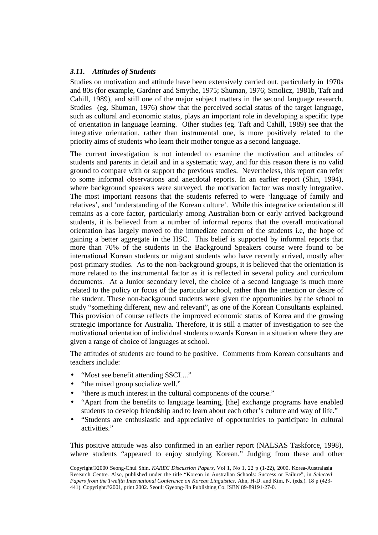#### *3.11. Attitudes of Students*

Studies on motivation and attitude have been extensively carried out, particularly in 1970s and 80s (for example, Gardner and Smythe, 1975; Shuman, 1976; Smolicz, 1981b, Taft and Cahill, 1989), and still one of the major subject matters in the second language research. Studies (eg. Shuman, 1976) show that the perceived social status of the target language, such as cultural and economic status, plays an important role in developing a specific type of orientation in language learning. Other studies (eg. Taft and Cahill, 1989) see that the integrative orientation, rather than instrumental one, is more positively related to the priority aims of students who learn their mother tongue as a second language.

The current investigation is not intended to examine the motivation and attitudes of students and parents in detail and in a systematic way, and for this reason there is no valid ground to compare with or support the previous studies. Nevertheless, this report can refer to some informal observations and anecdotal reports. In an earlier report (Shin, 1994), where background speakers were surveyed, the motivation factor was mostly integrative. The most important reasons that the students referred to were 'language of family and relatives', and 'understanding of the Korean culture'. While this integrative orientation still remains as a core factor, particularly among Australian-born or early arrived background students, it is believed from a number of informal reports that the overall motivational orientation has largely moved to the immediate concern of the students i.e, the hope of gaining a better aggregate in the HSC. This belief is supported by informal reports that more than 70% of the students in the Background Speakers course were found to be international Korean students or migrant students who have recently arrived, mostly after post-primary studies. As to the non-background groups, it is believed that the orientation is more related to the instrumental factor as it is reflected in several policy and curriculum documents. At a Junior secondary level, the choice of a second language is much more related to the policy or focus of the particular school, rather than the intention or desire of the student. These non-background students were given the opportunities by the school to study "something different, new and relevant", as one of the Korean Consultants explained. This provision of course reflects the improved economic status of Korea and the growing strategic importance for Australia. Therefore, it is still a matter of investigation to see the motivational orientation of individual students towards Korean in a situation where they are given a range of choice of languages at school.

The attitudes of students are found to be positive. Comments from Korean consultants and teachers include:

- "Most see benefit attending SSCL..."
- "the mixed group socialize well."
- "there is much interest in the cultural components of the course."
- "Apart from the benefits to language learning, [the] exchange programs have enabled students to develop friendship and to learn about each other's culture and way of life."
- "Students are enthusiastic and appreciative of opportunities to participate in cultural activities."

This positive attitude was also confirmed in an earlier report (NALSAS Taskforce, 1998), where students "appeared to enjoy studying Korean." Judging from these and other

Copyright©2000 Seong-Chul Shin. *KAREC Discussion Papers,* Vol 1, No 1, 22 p (1-22), 2000. Korea-Australasia Research Centre. Also, published under the title "Korean in Australian Schools: Success or Failure", in *Selected Papers from the Twelfth International Conference on Korean Linguistics*. Ahn, H-D. and Kim, N. (eds.). 18 p (423- 441). Copyright©2001, print 2002. Seoul: Gyeong-Jin Publishing Co. ISBN 89-89191-27-0.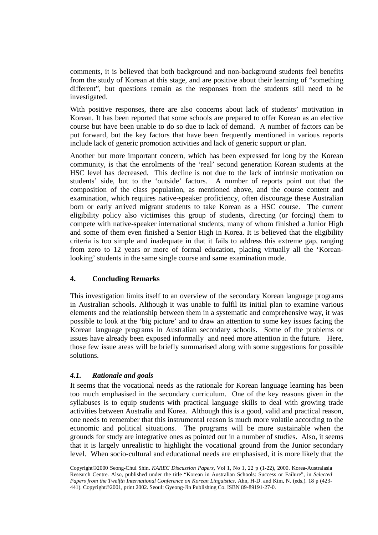comments, it is believed that both background and non-background students feel benefits from the study of Korean at this stage, and are positive about their learning of "something different", but questions remain as the responses from the students still need to be investigated.

With positive responses, there are also concerns about lack of students' motivation in Korean. It has been reported that some schools are prepared to offer Korean as an elective course but have been unable to do so due to lack of demand. A number of factors can be put forward, but the key factors that have been frequently mentioned in various reports include lack of generic promotion activities and lack of generic support or plan.

Another but more important concern, which has been expressed for long by the Korean community, is that the enrolments of the 'real' second generation Korean students at the HSC level has decreased. This decline is not due to the lack of intrinsic motivation on students' side, but to the 'outside' factors. A number of reports point out that the composition of the class population, as mentioned above, and the course content and examination, which requires native-speaker proficiency, often discourage these Australian born or early arrived migrant students to take Korean as a HSC course. The current eligibility policy also victimises this group of students, directing (or forcing) them to compete with native-speaker international students, many of whom finished a Junior High and some of them even finished a Senior High in Korea. It is believed that the eligibility criteria is too simple and inadequate in that it fails to address this extreme gap, ranging from zero to 12 years or more of formal education, placing virtually all the 'Koreanlooking' students in the same single course and same examination mode.

#### **4. Concluding Remarks**

This investigation limits itself to an overview of the secondary Korean language programs in Australian schools. Although it was unable to fulfil its initial plan to examine various elements and the relationship between them in a systematic and comprehensive way, it was possible to look at the 'big picture' and to draw an attention to some key issues facing the Korean language programs in Australian secondary schools. Some of the problems or issues have already been exposed informally and need more attention in the future. Here, those few issue areas will be briefly summarised along with some suggestions for possible solutions.

#### *4.1. Rationale and goals*

It seems that the vocational needs as the rationale for Korean language learning has been too much emphasised in the secondary curriculum. One of the key reasons given in the syllabuses is to equip students with practical language skills to deal with growing trade activities between Australia and Korea. Although this is a good, valid and practical reason, one needs to remember that this instrumental reason is much more volatile according to the economic and political situations. The programs will be more sustainable when the grounds for study are integrative ones as pointed out in a number of studies. Also, it seems that it is largely unrealistic to highlight the vocational ground from the Junior secondary level. When socio-cultural and educational needs are emphasised, it is more likely that the

Copyright©2000 Seong-Chul Shin. *KAREC Discussion Papers,* Vol 1, No 1, 22 p (1-22), 2000. Korea-Australasia Research Centre. Also, published under the title "Korean in Australian Schools: Success or Failure", in *Selected Papers from the Twelfth International Conference on Korean Linguistics*. Ahn, H-D. and Kim, N. (eds.). 18 p (423- 441). Copyright©2001, print 2002. Seoul: Gyeong-Jin Publishing Co. ISBN 89-89191-27-0.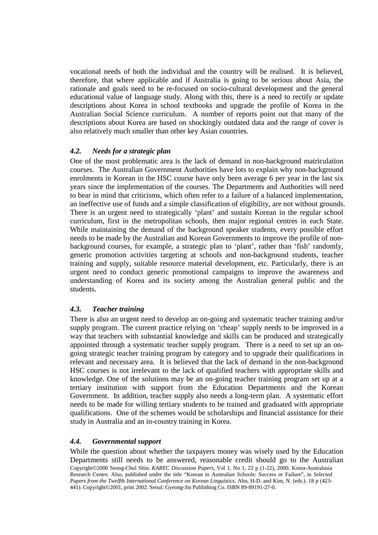vocational needs of both the individual and the country will be realised. It is believed, therefore, that where applicable and if Australia is going to be serious about Asia, the rationale and goals need to be re-focused on socio-cultural development and the general educational value of language study. Along with this, there is a need to rectify or update descriptions about Korea in school textbooks and upgrade the profile of Korea in the Australian Social Science curriculum. A number of reports point out that many of the descriptions about Korea are based on shockingly outdated data and the range of cover is also relatively much smaller than other key Asian countries.

#### *4.2. Needs for a strategic plan*

One of the most problematic area is the lack of demand in non-background matriculation courses. The Australian Government Authorities have lots to explain why non-background enrolments in Korean in the HSC course have only been average 6 per year in the last six years since the implementation of the courses. The Departments and Authorities will need to bear in mind that criticisms, which often refer to a failure of a balanced implementation, an ineffective use of funds and a simple classification of eligibility, are not without grounds. There is an urgent need to strategically 'plant' and sustain Korean in the regular school curriculum, first in the metropolitan schools, then major regional centres in each State. While maintaining the demand of the background speaker students, every possible effort needs to be made by the Australian and Korean Governments to improve the profile of nonbackground courses, for example, a strategic plan to 'plant', rather than 'fish' randomly, generic promotion activities targeting at schools and non-background students, teacher training and supply, suitable resource material development, etc. Particularly, there is an urgent need to conduct generic promotional campaigns to improve the awareness and understanding of Korea and its society among the Australian general public and the students.

#### *4.3. Teacher training*

There is also an urgent need to develop an on-going and systematic teacher training and/or supply program. The current practice relying on 'cheap' supply needs to be improved in a way that teachers with substantial knowledge and skills can be produced and strategically appointed through a systematic teacher supply program. There is a need to set up an ongoing strategic teacher training program by category and to upgrade their qualifications in relevant and necessary area. It is believed that the lack of demand in the non-background HSC courses is not irrelevant to the lack of qualified teachers with appropriate skills and knowledge. One of the solutions may be an on-going teacher training program set up at a tertiary institution with support from the Education Departments and the Korean Government. In addition, teacher supply also needs a long-term plan. A systematic effort needs to be made for willing tertiary students to be trained and graduated with appropriate qualifications. One of the schemes would be scholarships and financial assistance for their study in Australia and an in-country training in Korea.

#### *4.4. Governmental support*

Copyright©2000 Seong-Chul Shin. *KAREC Discussion Papers,* Vol 1, No 1, 22 p (1-22), 2000. Korea-Australasia Research Centre. Also, published under the title "Korean in Australian Schools: Success or Failure", in *Selected Papers from the Twelfth International Conference on Korean Linguistics*. Ahn, H-D. and Kim, N. (eds.). 18 p (423- 441). Copyright©2001, print 2002. Seoul: Gyeong-Jin Publishing Co. ISBN 89-89191-27-0. While the question about whether the taxpayers money was wisely used by the Education Departments still needs to be answered, reasonable credit should go to the Australian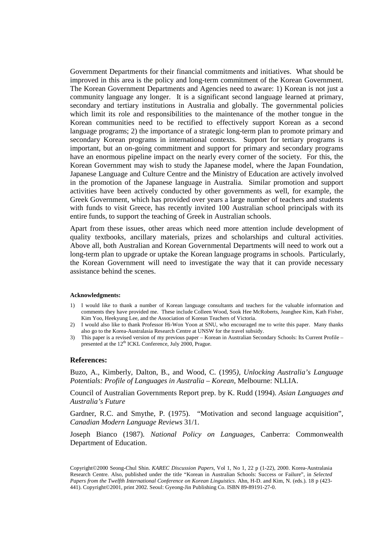Government Departments for their financial commitments and initiatives. What should be improved in this area is the policy and long-term commitment of the Korean Government. The Korean Government Departments and Agencies need to aware: 1) Korean is not just a community language any longer. It is a significant second language learned at primary, secondary and tertiary institutions in Australia and globally. The governmental policies which limit its role and responsibilities to the maintenance of the mother tongue in the Korean communities need to be rectified to effectively support Korean as a second language programs; 2) the importance of a strategic long-term plan to promote primary and secondary Korean programs in international contexts. Support for tertiary programs is important, but an on-going commitment and support for primary and secondary programs have an enormous pipeline impact on the nearly every corner of the society. For this, the Korean Government may wish to study the Japanese model, where the Japan Foundation, Japanese Language and Culture Centre and the Ministry of Education are actively involved in the promotion of the Japanese language in Australia. Similar promotion and support activities have been actively conducted by other governments as well, for example, the Greek Government, which has provided over years a large number of teachers and students with funds to visit Greece, has recently invited 100 Australian school principals with its entire funds, to support the teaching of Greek in Australian schools.

Apart from these issues, other areas which need more attention include development of quality textbooks, ancillary materials, prizes and scholarships and cultural activities. Above all, both Australian and Korean Governmental Departments will need to work out a long-term plan to upgrade or uptake the Korean language programs in schools. Particularly, the Korean Government will need to investigate the way that it can provide necessary assistance behind the scenes.

#### **Acknowledgments:**

- 1) I would like to thank a number of Korean language consultants and teachers for the valuable information and comments they have provided me. These include Colleen Wood, Sook Hee McRoberts, Jeanghee Kim, Kath Fisher, Kim Yoo, Heekyung Lee, and the Association of Korean Teachers of Victoria.
- 2) I would also like to thank Professor Hi-Won Yoon at SNU, who encouraged me to write this paper. Many thanks also go to the Korea-Australasia Research Centre at UNSW for the travel subsidy.
- 3) This paper is a revised version of my previous paper Korean in Australian Secondary Schools: Its Current Profile presented at the 12<sup>th</sup> ICKL Conference, July 2000, Prague.

#### **References:**

Buzo, A., Kimberly, Dalton, B., and Wood, C. (1995*), Unlocking Australia's Language Potentials: Profile of Languages in Australia – Korean*, Melbourne: NLLIA.

Council of Australian Governments Report prep. by K. Rudd (1994). *Asian Languages and Australia's Future*

Gardner, R.C. and Smythe, P. (1975). "Motivation and second language acquisition", *Canadian Modern Language Reviews* 31/1.

Joseph Bianco (1987). *National Policy on Languages*, Canberra: Commonwealth Department of Education.

Copyright©2000 Seong-Chul Shin. *KAREC Discussion Papers,* Vol 1, No 1, 22 p (1-22), 2000. Korea-Australasia Research Centre. Also, published under the title "Korean in Australian Schools: Success or Failure", in *Selected Papers from the Twelfth International Conference on Korean Linguistics*. Ahn, H-D. and Kim, N. (eds.). 18 p (423- 441). Copyright©2001, print 2002. Seoul: Gyeong-Jin Publishing Co. ISBN 89-89191-27-0.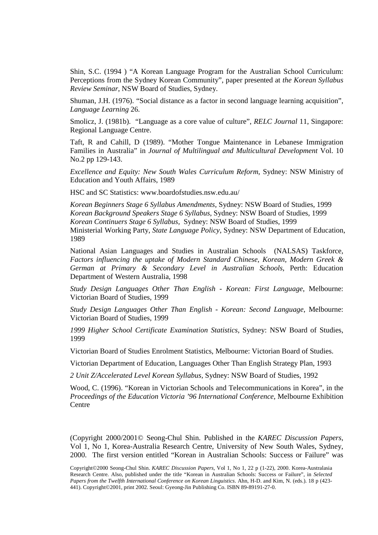Shin, S.C. (1994 ) "A Korean Language Program for the Australian School Curriculum: Perceptions from the Sydney Korean Community", paper presented at *the Korean Syllabus Review Seminar*, NSW Board of Studies, Sydney.

Shuman, J.H. (1976). "Social distance as a factor in second language learning acquisition", *Language Learning* 26.

Smolicz, J. (1981b). "Language as a core value of culture", *RELC Journal* 11, Singapore: Regional Language Centre.

Taft, R and Cahill, D (1989). "Mother Tongue Maintenance in Lebanese Immigration Families in Australia" in *Journal of Multilingual and Multicultural Development* Vol. 10 No.2 pp 129-143.

*Excellence and Equity: New South Wales Curriculum Reform*, Sydney: NSW Ministry of Education and Youth Affairs, 1989

HSC and SC Statistics: www.boardofstudies.nsw.edu.au/

*Korean Beginners Stage 6 Syllabus Amendments*, Sydney: NSW Board of Studies, 1999 *Korean Background Speakers Stage 6 Syllabus*, Sydney: NSW Board of Studies, 1999 *Korean Continuers Stage 6 Syllabus,* Sydney: NSW Board of Studies, 1999 Ministerial Working Party, *State Language Policy*, Sydney: NSW Department of Education, 1989

National Asian Languages and Studies in Australian Schools (NALSAS) Taskforce, *Factors influencing the uptake of Modern Standard Chinese, Korean, Modern Greek & German at Primary & Secondary Level in Australian Schools*, Perth: Education Department of Western Australia, 1998

*Study Design Languages Other Than English - Korean: First Language*, Melbourne: Victorian Board of Studies, 1999

*Study Design Languages Other Than English - Korean: Second Language*, Melbourne: Victorian Board of Studies, 1999

*1999 Higher School Certificate Examination Statistics,* Sydney: NSW Board of Studies, 1999

Victorian Board of Studies Enrolment Statistics, Melbourne: Victorian Board of Studies.

Victorian Department of Education, Languages Other Than English Strategy Plan, 1993

*2 Unit Z/Accelerated Level Korean Syllabus,* Sydney: NSW Board of Studies, 1992

Wood, C. (1996). "Korean in Victorian Schools and Telecommunications in Korea", in the *Proceedings of the Education Victoria '96 International Conference*, Melbourne Exhibition **Centre** 

(Copyright 2000/2001© Seong-Chul Shin. Published in the *KAREC Discussion Papers,*  Vol 1, No 1, Korea-Australia Research Centre, University of New South Wales, Sydney, 2000. The first version entitled "Korean in Australian Schools: Success or Failure" was

Copyright©2000 Seong-Chul Shin. *KAREC Discussion Papers,* Vol 1, No 1, 22 p (1-22), 2000. Korea-Australasia Research Centre. Also, published under the title "Korean in Australian Schools: Success or Failure", in *Selected Papers from the Twelfth International Conference on Korean Linguistics*. Ahn, H-D. and Kim, N. (eds.). 18 p (423- 441). Copyright©2001, print 2002. Seoul: Gyeong-Jin Publishing Co. ISBN 89-89191-27-0.